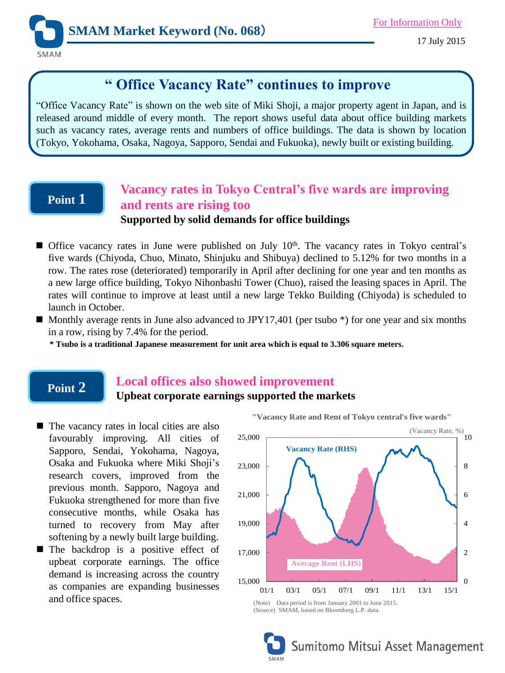

17 July 2015

# **" Office Vacancy Rate" continues to improve**

"Office Vacancy Rate" is shown on the web site of Miki Shoji, a major property agent in Japan, and is released around middle of every month. The report shows useful data about office building markets such as vacancy rates, average rents and numbers of office buildings. The data is shown by location (Tokyo, Yokohama, Osaka, Nagoya, Sapporo, Sendai and Fukuoka), newly built or existing building.

## **Point 1**

**Point 2**

## **Vacancy rates in Tokyo Central's five wards are improving and rents are rising too**

### **Supported by solid demands for office buildings**

- Office vacancy rates in June were published on July 10<sup>th</sup>. The vacancy rates in Tokyo central's five wards (Chiyoda, Chuo, Minato, Shinjuku and Shibuya) declined to 5.12% for two months in a row. The rates rose (deteriorated) temporarily in April after declining for one year and ten months as a new large office building, Tokyo Nihonbashi Tower (Chuo), raised the leasing spaces in April. The rates will continue to improve at least until a new large Tekko Building (Chiyoda) is scheduled to launch in October.
- $\blacksquare$  Monthly average rents in June also advanced to JPY17,401 (per tsubo  $\ast$ ) for one year and six months in a row, rising by 7.4% for the period.

\* Tsubo is a traditional Japanese measurement for unit area which is equal to 3.306 square meters.

## **Local offices also showed improvement**

**Upbeat corporate earnings supported the markets**

- The vacancy rates in local cities are also favourably improving. All cities of Sapporo, Sendai, Yokohama, Nagoya, Osaka and Fukuoka where Miki Shoji's research covers, improved from the previous month. Sapporo, Nagoya and Fukuoka strengthened for more than five consecutive months, while Osaka has turned to recovery from May after softening by a newly built large building.
- **The backdrop is a positive effect of** upbeat corporate earnings. The office demand is increasing across the country as companies are expanding businesses and office spaces.



(Source) SMAM, based on Bloomberg L.P. data.